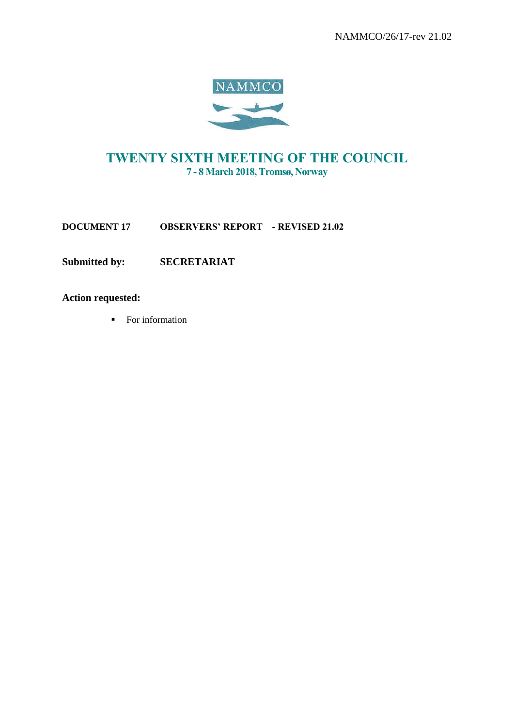

# TWENTY SIXTH MEETING OF THE COUNCIL 7 - 8 March 2018, Tromsø, Norway

**DOCUMENT 17 OBSERVERS' REPORT** - REVISED 21.02

**Submitted by: SECRETARIAT**

**Action requested:**

■ For information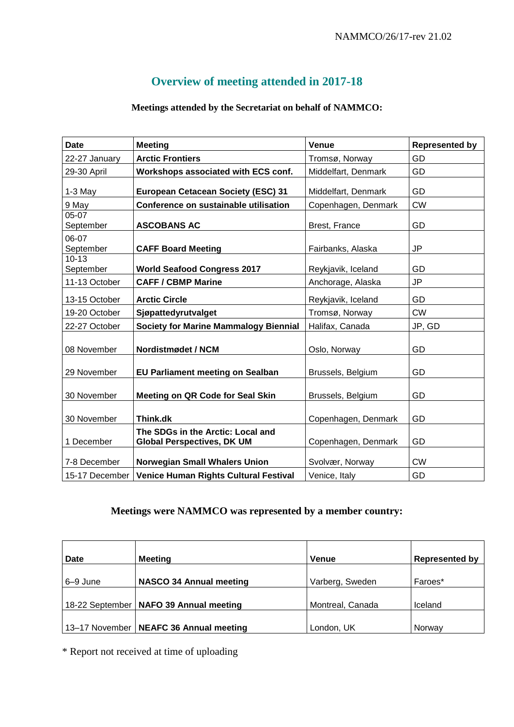# **Overview of meeting attended in 2017-18**

## **Meetings attended by the Secretariat on behalf of NAMMCO:**

| <b>Date</b>            | <b>Meeting</b>                                                         | Venue               | <b>Represented by</b> |
|------------------------|------------------------------------------------------------------------|---------------------|-----------------------|
| 22-27 January          | <b>Arctic Frontiers</b>                                                | Tromsø, Norway      | GD                    |
| 29-30 April            | Workshops associated with ECS conf.                                    | Middelfart, Denmark | GD                    |
| $1-3$ May              | European Cetacean Society (ESC) 31                                     | Middelfart, Denmark | GD                    |
| 9 May                  | Conference on sustainable utilisation                                  | Copenhagen, Denmark | <b>CW</b>             |
| 05-07<br>September     | <b>ASCOBANS AC</b>                                                     | Brest, France       | GD                    |
| 06-07<br>September     | <b>CAFF Board Meeting</b>                                              | Fairbanks, Alaska   | JP                    |
| $10 - 13$<br>September | <b>World Seafood Congress 2017</b>                                     | Reykjavik, Iceland  | GD                    |
| 11-13 October          | <b>CAFF / CBMP Marine</b>                                              | Anchorage, Alaska   | <b>JP</b>             |
| 13-15 October          | <b>Arctic Circle</b>                                                   | Reykjavik, Iceland  | GD                    |
| 19-20 October          | Sjøpattedyrutvalget                                                    | Tromsø, Norway      | <b>CW</b>             |
| 22-27 October          | <b>Society for Marine Mammalogy Biennial</b>                           | Halifax, Canada     | JP, GD                |
| 08 November            | Nordistmødet / NCM                                                     | Oslo, Norway        | GD                    |
| 29 November            | <b>EU Parliament meeting on Sealban</b>                                | Brussels, Belgium   | GD                    |
| 30 November            | Meeting on QR Code for Seal Skin                                       | Brussels, Belgium   | GD                    |
| 30 November            | Think.dk                                                               | Copenhagen, Denmark | GD                    |
| 1 December             | The SDGs in the Arctic: Local and<br><b>Global Perspectives, DK UM</b> | Copenhagen, Denmark | GD                    |
| 7-8 December           | <b>Norwegian Small Whalers Union</b>                                   | Svolvær, Norway     | <b>CW</b>             |
| 15-17 December         | <b>Venice Human Rights Cultural Festival</b>                           | Venice, Italy       | GD                    |

## **Meetings were NAMMCO was represented by a member country:**

| Date     | <b>Meeting</b>                           | <b>Venue</b>     | <b>Represented by</b> |
|----------|------------------------------------------|------------------|-----------------------|
| 6–9 June | <b>NASCO 34 Annual meeting</b>           | Varberg, Sweden  | Faroes*               |
|          | 18-22 September   NAFO 39 Annual meeting | Montreal, Canada | Iceland               |
|          | 13-17 November   NEAFC 36 Annual meeting | London, UK       | Norway                |

\* Report not received at time of uploading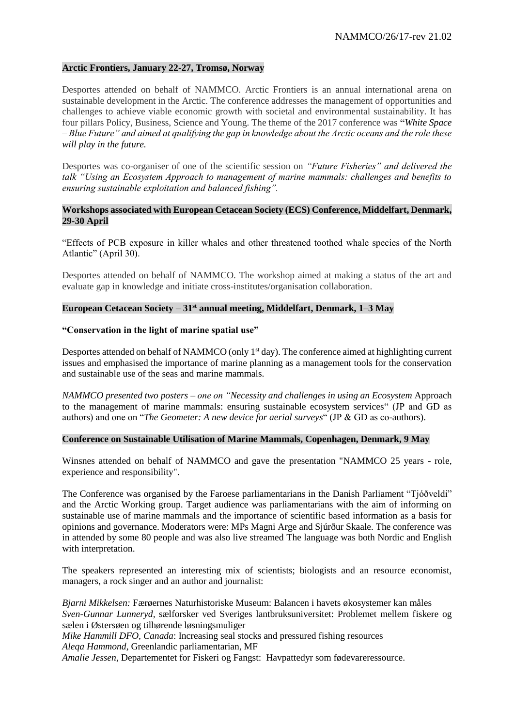#### **Arctic Frontiers, January 22-27, Tromsø, Norway**

Desportes attended on behalf of NAMMCO. Arctic Frontiers is an annual international arena on sustainable development in the Arctic. The conference addresses the management of opportunities and challenges to achieve viable economic growth with societal and environmental sustainability. It has four pillars Policy, Business, Science and Young. The theme of the 2017 conference was **"***White Space – Blue Future" and aimed at qualifying the gap in knowledge about the Arctic oceans and the role these will play in the future.*

Desportes was co-organiser of one of the scientific session on *"Future Fisheries" and delivered the talk "Using an Ecosystem Approach to management of marine mammals: challenges and benefits to ensuring sustainable exploitation and balanced fishing".*

## **Workshops associated with European Cetacean Society (ECS) Conference, Middelfart, Denmark, 29-30 April**

"Effects of PCB exposure in killer whales and other threatened toothed whale species of the North Atlantic" (April 30).

Desportes attended on behalf of NAMMCO. The workshop aimed at making a status of the art and evaluate gap in knowledge and initiate cross-institutes/organisation collaboration.

## **European Cetacean Society – 31st annual meeting, Middelfart, Denmark, 1–3 May**

#### **"Conservation in the light of marine spatial use"**

Desportes attended on behalf of NAMMCO (only  $1<sup>st</sup>$  day). The conference aimed at highlighting current issues and emphasised the importance of marine planning as a management tools for the conservation and sustainable use of the seas and marine mammals.

*NAMMCO presented two posters – one on "Necessity and challenges in using an Ecosystem* Approach to the management of marine mammals: ensuring sustainable ecosystem services" (JP and GD as authors) and one on "*The Geometer: A new device for aerial surveys*" (JP & GD as co-authors).

#### **Conference on Sustainable Utilisation of Marine Mammals, Copenhagen, Denmark, 9 May**

Winsnes attended on behalf of NAMMCO and gave the presentation "NAMMCO 25 years - role, experience and responsibility".

The Conference was organised by the Faroese parliamentarians in the Danish Parliament "Tjóðveldi" and the Arctic Working group. Target audience was parliamentarians with the aim of informing on sustainable use of marine mammals and the importance of scientific based information as a basis for opinions and governance. Moderators were: MPs Magni Arge and Sjúrður Skaale. The conference was in attended by some 80 people and was also live streamed The language was both Nordic and English with interpretation.

The speakers represented an interesting mix of scientists; biologists and an resource economist, managers, a rock singer and an author and journalist:

*Bjarni Mikkelsen:* Færøernes Naturhistoriske Museum: Balancen i havets økosystemer kan måles *Sven-Gunnar Lunneryd,* sælforsker ved Sveriges lantbruksuniversitet: Problemet mellem fiskere og sælen i Østersøen og tilhørende løsningsmuliger

*Mike Hammill DFO, Canada*: Increasing seal stocks and pressured fishing resources *Aleqa Hammond*, Greenlandic parliamentarian, MF

*Amalie Jessen*, Departementet for Fiskeri og Fangst: Havpattedyr som fødevareressource.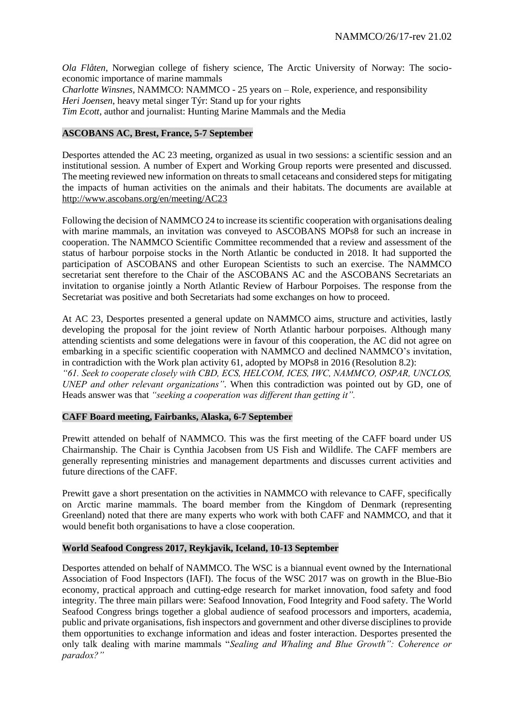*Ola Flåten*, Norwegian college of fishery science, The Arctic University of Norway: The socioeconomic importance of marine mammals *Charlotte Winsnes,* NAMMCO: NAMMCO - 25 years on – Role, experience, and responsibility *Heri Joensen*, heavy metal singer Týr: Stand up for your rights *Tim Ecott,* author and journalist: Hunting Marine Mammals and the Media

## **ASCOBANS AC, Brest, France, 5-7 September**

Desportes attended the AC 23 meeting, organized as usual in two sessions: a scientific session and an institutional session. A number of Expert and Working Group reports were presented and discussed. The meeting reviewed new information on threats to small cetaceans and considered steps for mitigating the impacts of human activities on the animals and their habitats. The documents are available at <http://www.ascobans.org/en/meeting/AC23>

Following the decision of NAMMCO 24 to increase its scientific cooperation with organisations dealing with marine mammals, an invitation was conveyed to ASCOBANS MOPs8 for such an increase in cooperation. The NAMMCO Scientific Committee recommended that a review and assessment of the status of harbour porpoise stocks in the North Atlantic be conducted in 2018. It had supported the participation of ASCOBANS and other European Scientists to such an exercise. The NAMMCO secretariat sent therefore to the Chair of the ASCOBANS AC and the ASCOBANS Secretariats an invitation to organise jointly a North Atlantic Review of Harbour Porpoises. The response from the Secretariat was positive and both Secretariats had some exchanges on how to proceed.

At AC 23, Desportes presented a general update on NAMMCO aims, structure and activities, lastly developing the proposal for the joint review of North Atlantic harbour porpoises. Although many attending scientists and some delegations were in favour of this cooperation, the AC did not agree on embarking in a specific scientific cooperation with NAMMCO and declined NAMMCO's invitation, in contradiction with the Work plan activity 61, adopted by MOPs8 in 2016 (Resolution 8.2): *"61. Seek to cooperate closely with CBD, ECS, HELCOM, ICES, IWC, NAMMCO, OSPAR, UNCLOS,* 

*UNEP and other relevant organizations".* When this contradiction was pointed out by GD*,* one of Heads answer was that *"seeking a cooperation was different than getting it".*

## **CAFF Board meeting, Fairbanks, Alaska, 6-7 September**

Prewitt attended on behalf of NAMMCO. This was the first meeting of the CAFF board under US Chairmanship. The Chair is Cynthia Jacobsen from US Fish and Wildlife. The CAFF members are generally representing ministries and management departments and discusses current activities and future directions of the CAFF.

Prewitt gave a short presentation on the activities in NAMMCO with relevance to CAFF, specifically on Arctic marine mammals. The board member from the Kingdom of Denmark (representing Greenland) noted that there are many experts who work with both CAFF and NAMMCO, and that it would benefit both organisations to have a close cooperation.

## **World Seafood Congress 2017, Reykjavik, Iceland, 10-13 September**

Desportes attended on behalf of NAMMCO. The WSC is a biannual event owned by the International Association of Food Inspectors (IAFI). The focus of the WSC 2017 was on growth in the Blue-Bio economy, practical approach and cutting-edge research for market innovation, food safety and food integrity. The three main pillars were: Seafood Innovation, Food Integrity and Food safety. The World Seafood Congress brings together a global audience of seafood processors and importers, academia, public and private organisations, fish inspectors and government and other diverse disciplines to provide them opportunities to exchange information and ideas and foster interaction. Desportes presented the only talk dealing with marine mammals "*Sealing and Whaling and Blue Growth": Coherence or paradox?"*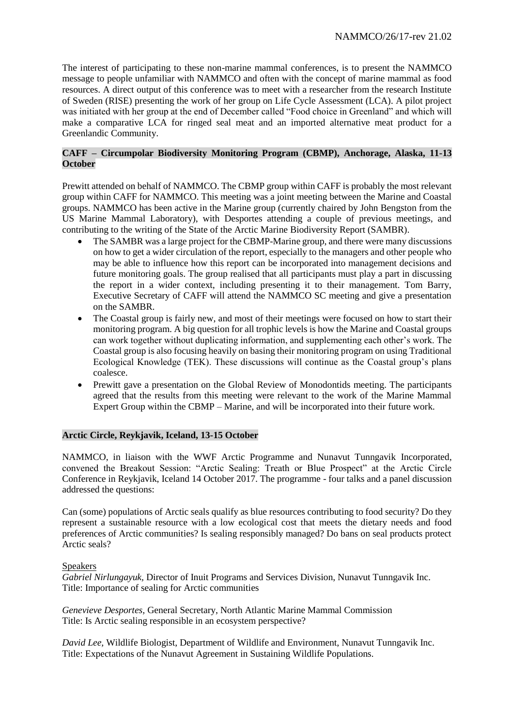The interest of participating to these non-marine mammal conferences, is to present the NAMMCO message to people unfamiliar with NAMMCO and often with the concept of marine mammal as food resources. A direct output of this conference was to meet with a researcher from the research Institute of Sweden (RISE) presenting the work of her group on Life Cycle Assessment (LCA). A pilot project was initiated with her group at the end of December called "Food choice in Greenland" and which will make a comparative LCA for ringed seal meat and an imported alternative meat product for a Greenlandic Community.

## **CAFF – Circumpolar Biodiversity Monitoring Program (CBMP), Anchorage, Alaska, 11-13 October**

Prewitt attended on behalf of NAMMCO. The CBMP group within CAFF is probably the most relevant group within CAFF for NAMMCO. This meeting was a joint meeting between the Marine and Coastal groups. NAMMCO has been active in the Marine group (currently chaired by John Bengston from the US Marine Mammal Laboratory), with Desportes attending a couple of previous meetings, and contributing to the writing of the State of the Arctic Marine Biodiversity Report (SAMBR).

- The SAMBR was a large project for the CBMP-Marine group, and there were many discussions on how to get a wider circulation of the report, especially to the managers and other people who may be able to influence how this report can be incorporated into management decisions and future monitoring goals. The group realised that all participants must play a part in discussing the report in a wider context, including presenting it to their management. Tom Barry, Executive Secretary of CAFF will attend the NAMMCO SC meeting and give a presentation on the SAMBR.
- The Coastal group is fairly new, and most of their meetings were focused on how to start their monitoring program. A big question for all trophic levels is how the Marine and Coastal groups can work together without duplicating information, and supplementing each other's work. The Coastal group is also focusing heavily on basing their monitoring program on using Traditional Ecological Knowledge (TEK). These discussions will continue as the Coastal group's plans coalesce.
- Prewitt gave a presentation on the Global Review of Monodontids meeting. The participants agreed that the results from this meeting were relevant to the work of the Marine Mammal Expert Group within the CBMP – Marine, and will be incorporated into their future work.

## **Arctic Circle, Reykjavik, Iceland, 13-15 October**

NAMMCO, in liaison with the WWF Arctic Programme and Nunavut Tunngavik Incorporated, convened the Breakout Session: "Arctic Sealing: Treath or Blue Prospect" at the Arctic Circle Conference in Reykjavik, Iceland 14 October 2017. The programme - four talks and a panel discussion addressed the questions:

Can (some) populations of Arctic seals qualify as blue resources contributing to food security? Do they represent a sustainable resource with a low ecological cost that meets the dietary needs and food preferences of Arctic communities? Is sealing responsibly managed? Do bans on seal products protect Arctic seals?

## Speakers

*Gabriel Nirlungayuk,* Director of Inuit Programs and Services Division, Nunavut Tunngavik Inc. Title: Importance of sealing for Arctic communities

*Genevieve Desportes,* General Secretary, North Atlantic Marine Mammal Commission Title: Is Arctic sealing responsible in an ecosystem perspective?

*David Lee,* Wildlife Biologist, Department of Wildlife and Environment, Nunavut Tunngavik Inc. Title: Expectations of the Nunavut Agreement in Sustaining Wildlife Populations.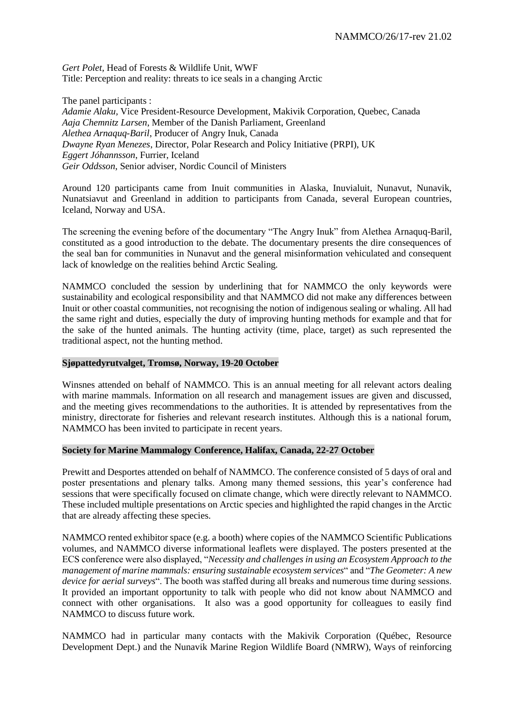*Gert Polet,* Head of Forests & Wildlife Unit, WWF Title: Perception and reality: threats to ice seals in a changing Arctic

The panel participants :

*Adamie Alaku,* Vice President-Resource Development, Makivik Corporation, Quebec, Canada *Aaja Chemnitz Larsen*, Member of the Danish Parliament, Greenland *Alethea Arnaquq-Baril*, Producer of Angry Inuk, Canada *Dwayne Ryan Menezes*, Director, Polar Research and Policy Initiative (PRPI), UK *Eggert Jóhannsson*, Furrier, Iceland *Geir Oddsson*, Senior adviser, Nordic Council of Ministers

Around 120 participants came from Inuit communities in Alaska, Inuvialuit, Nunavut, Nunavik, Nunatsiavut and Greenland in addition to participants from Canada, several European countries, Iceland, Norway and USA.

The screening the evening before of the documentary "The Angry Inuk" from Alethea Arnaquq-Baril, constituted as a good introduction to the debate. The documentary presents the dire consequences of the seal ban for communities in Nunavut and the general misinformation vehiculated and consequent lack of knowledge on the realities behind Arctic Sealing.

NAMMCO concluded the session by underlining that for NAMMCO the only keywords were sustainability and ecological responsibility and that NAMMCO did not make any differences between Inuit or other coastal communities, not recognising the notion of indigenous sealing or whaling. All had the same right and duties, especially the duty of improving hunting methods for example and that for the sake of the hunted animals. The hunting activity (time, place, target) as such represented the traditional aspect, not the hunting method.

#### **Sjøpattedyrutvalget, Tromsø, Norway, 19-20 October**

Winsnes attended on behalf of NAMMCO. This is an annual meeting for all relevant actors dealing with marine mammals. Information on all research and management issues are given and discussed, and the meeting gives recommendations to the authorities. It is attended by representatives from the ministry, directorate for fisheries and relevant research institutes. Although this is a national forum, NAMMCO has been invited to participate in recent years.

## **Society for Marine Mammalogy Conference, Halifax, Canada, 22-27 October**

Prewitt and Desportes attended on behalf of NAMMCO. The conference consisted of 5 days of oral and poster presentations and plenary talks. Among many themed sessions, this year's conference had sessions that were specifically focused on climate change, which were directly relevant to NAMMCO. These included multiple presentations on Arctic species and highlighted the rapid changes in the Arctic that are already affecting these species.

NAMMCO rented exhibitor space (e.g. a booth) where copies of the NAMMCO Scientific Publications volumes, and NAMMCO diverse informational leaflets were displayed. The posters presented at the ECS conference were also displayed, "*Necessity and challenges in using an Ecosystem Approach to the management of marine mammals: ensuring sustainable ecosystem services*" and "*The Geometer: A new device for aerial surveys*". The booth was staffed during all breaks and numerous time during sessions. It provided an important opportunity to talk with people who did not know about NAMMCO and connect with other organisations. It also was a good opportunity for colleagues to easily find NAMMCO to discuss future work.

NAMMCO had in particular many contacts with the Makivik Corporation (Québec, Resource Development Dept.) and the Nunavik Marine Region Wildlife Board (NMRW), Ways of reinforcing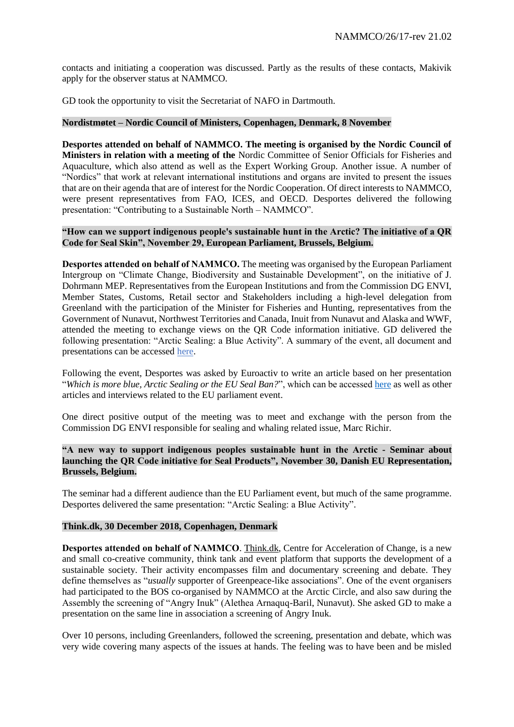contacts and initiating a cooperation was discussed. Partly as the results of these contacts, Makivik apply for the observer status at NAMMCO.

GD took the opportunity to visit the Secretariat of NAFO in Dartmouth.

#### **Nordistmøtet – Nordic Council of Ministers, Copenhagen, Denmark, 8 November**

**Desportes attended on behalf of NAMMCO. The meeting is organised by the Nordic Council of Ministers in relation with a meeting of the** Nordic Committee of Senior Officials for Fisheries and Aquaculture, which also attend as well as the Expert Working Group. Another issue. A number of "Nordics" that work at relevant international institutions and organs are invited to present the issues that are on their agenda that are of interest for the Nordic Cooperation. Of direct interests to NAMMCO, were present representatives from FAO, ICES, and OECD. Desportes delivered the following presentation: "Contributing to a Sustainable North – NAMMCO".

## **"How can we support indigenous people's sustainable hunt in the Arctic? The initiative of a QR Code for Seal Skin", November 29, European Parliament, Brussels, Belgium.**

Desportes attended on behalf of NAMMCO**.** The meeting was organised by the European Parliament Intergroup on "Climate Change, Biodiversity and Sustainable Development", on the initiative of J. Dohrmann MEP. Representatives from the European Institutions and from the Commission DG ENVI, Member States, Customs, Retail sector and Stakeholders including a high-level delegation from Greenland with the participation of the Minister for Fisheries and Hunting, representatives from the Government of Nunavut, Northwest Territories and Canada, Inuit from Nunavut and Alaska and WWF, attended the meeting to exchange views on the QR Code information initiative. GD delivered the following presentation: "Arctic Sealing: a Blue Activity". A summary of the event, all document and presentations can be accessed [here.](http://ebcd.org/event/can-support-indigenous-peoples-sustainable-hunt-arctic-initiative-qr-code-seal-skin/)

Following the event, Desportes was asked by Euroactiv to write an article based on her presentation "*Which is more blue, Arctic Sealing or the EU Seal Ban?*", which can be accessed [here](https://www.euractiv.com/section/economy-jobs/opinion/which-is-more-blue-arctic-sealing-or-the-eu-seal-ban/) as well as other articles and interviews related to the EU parliament event.

One direct positive output of the meeting was to meet and exchange with the person from the Commission DG ENVI responsible for sealing and whaling related issue, Marc Richir.

**"A new way to support indigenous peoples sustainable hunt in the Arctic - Seminar about launching the QR Code initiative for Seal Products", November 30, Danish EU Representation, Brussels, Belgium.**

The seminar had a different audience than the EU Parliament event, but much of the same programme. Desportes delivered the same presentation: "Arctic Sealing: a Blue Activity".

#### **Think.dk, 30 December 2018, Copenhagen, Denmark**

Desportes attended on behalf of NAMMCO. [Think.dk,](https://think.dk/) Centre for Acceleration of Change, is a new and small co-creative community, think tank and event platform that supports the development of a sustainable society. Their activity encompasses film and documentary screening and debate. They define themselves as "*usually* supporter of Greenpeace-like associations". One of the event organisers had participated to the BOS co-organised by NAMMCO at the Arctic Circle, and also saw during the Assembly the screening of "Angry Inuk" (Alethea Arnaquq-Baril, Nunavut). She asked GD to make a presentation on the same line in association a screening of Angry Inuk.

Over 10 persons, including Greenlanders, followed the screening, presentation and debate, which was very wide covering many aspects of the issues at hands. The feeling was to have been and be misled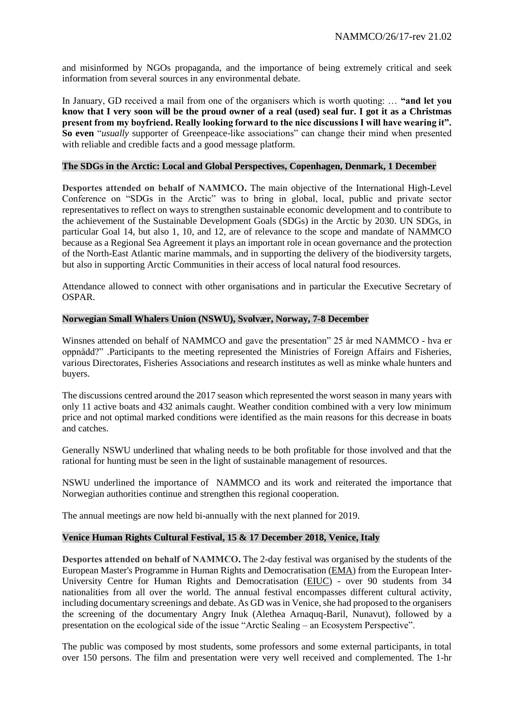and misinformed by NGOs propaganda, and the importance of being extremely critical and seek information from several sources in any environmental debate.

In January, GD received a mail from one of the organisers which is worth quoting: … **"and let you know that I very soon will be the proud owner of a real (used) seal fur. I got it as a Christmas present from my boyfriend. Really looking forward to the nice discussions I will have wearing it". So even** "*usually* supporter of Greenpeace-like associations" can change their mind when presented with reliable and credible facts and a good message platform.

#### **The SDGs in the Arctic: Local and Global Perspectives, Copenhagen, Denmark, 1 December**

Desportes attended on behalf of NAMMCO**.** The main objective of the International High-Level Conference on "SDGs in the Arctic" was to bring in global, local, public and private sector representatives to reflect on ways to strengthen sustainable economic development and to contribute to the achievement of the Sustainable Development Goals (SDGs) in the Arctic by 2030. UN SDGs, in particular Goal 14, but also 1, 10, and 12, are of relevance to the scope and mandate of NAMMCO because as a Regional Sea Agreement it plays an important role in ocean governance and the protection of the North-East Atlantic marine mammals, and in supporting the delivery of the biodiversity targets, but also in supporting Arctic Communities in their access of local natural food resources.

Attendance allowed to connect with other organisations and in particular the Executive Secretary of OSPAR.

#### **Norwegian Small Whalers Union (NSWU), Svolvær, Norway, 7-8 December**

Winsnes attended on behalf of NAMMCO and gave the presentation" 25 år med NAMMCO - hva er oppnådd?" .Participants to the meeting represented the Ministries of Foreign Affairs and Fisheries, various Directorates, Fisheries Associations and research institutes as well as minke whale hunters and buyers.

The discussions centred around the 2017 season which represented the worst season in many years with only 11 active boats and 432 animals caught. Weather condition combined with a very low minimum price and not optimal marked conditions were identified as the main reasons for this decrease in boats and catches.

Generally NSWU underlined that whaling needs to be both profitable for those involved and that the rational for hunting must be seen in the light of sustainable management of resources.

NSWU underlined the importance of NAMMCO and its work and reiterated the importance that Norwegian authorities continue and strengthen this regional cooperation.

The annual meetings are now held bi-annually with the next planned for 2019.

## **Venice Human Rights Cultural Festival, 15 & 17 December 2018, Venice, Italy**

Desportes attended on behalf of NAMMCO**.** The 2-day festival was organised by the students of the European Master's Programme in Human Rights and Democratisation [\(EMA\)](https://eiuc.org/education/regional-programmes/ema/about.html) from the European Inter-University Centre for Human Rights and Democratisation [\(EIUC\)](https://www.eiuc.org/about-us/eiuc-global-campus/universities.html) - over 90 students from 34 nationalities from all over the world. The annual festival encompasses different cultural activity, including documentary screenings and debate. As GD was in Venice, she had proposed to the organisers the screening of the documentary Angry Inuk (Alethea Arnaquq-Baril, Nunavut), followed by a presentation on the ecological side of the issue "Arctic Sealing – an Ecosystem Perspective".

The public was composed by most students, some professors and some external participants, in total over 150 persons. The film and presentation were very well received and complemented. The 1-hr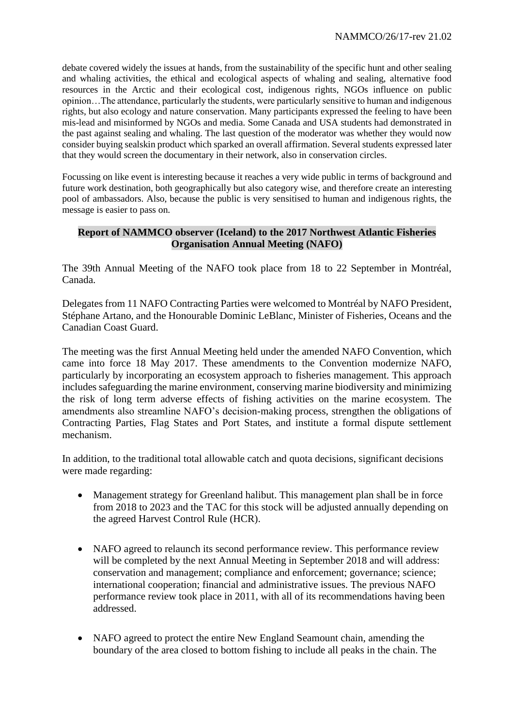debate covered widely the issues at hands, from the sustainability of the specific hunt and other sealing and whaling activities, the ethical and ecological aspects of whaling and sealing, alternative food resources in the Arctic and their ecological cost, indigenous rights, NGOs influence on public opinion…The attendance, particularly the students, were particularly sensitive to human and indigenous rights, but also ecology and nature conservation. Many participants expressed the feeling to have been mis-lead and misinformed by NGOs and media. Some Canada and USA students had demonstrated in the past against sealing and whaling. The last question of the moderator was whether they would now consider buying sealskin product which sparked an overall affirmation. Several students expressed later that they would screen the documentary in their network, also in conservation circles.

Focussing on like event is interesting because it reaches a very wide public in terms of background and future work destination, both geographically but also category wise, and therefore create an interesting pool of ambassadors. Also, because the public is very sensitised to human and indigenous rights, the message is easier to pass on.

## **Report of NAMMCO observer (Iceland) to the 2017 Northwest Atlantic Fisheries Organisation Annual Meeting (NAFO)**

The 39th Annual Meeting of the NAFO took place from 18 to 22 September in Montréal, Canada.

Delegates from 11 NAFO Contracting Parties were welcomed to Montréal by NAFO President, Stéphane Artano, and the Honourable Dominic LeBlanc, Minister of Fisheries, Oceans and the Canadian Coast Guard.

The meeting was the first Annual Meeting held under the amended NAFO Convention, which came into force 18 May 2017. These amendments to the Convention modernize NAFO, particularly by incorporating an ecosystem approach to fisheries management. This approach includes safeguarding the marine environment, conserving marine biodiversity and minimizing the risk of long term adverse effects of fishing activities on the marine ecosystem. The amendments also streamline NAFO's decision-making process, strengthen the obligations of Contracting Parties, Flag States and Port States, and institute a formal dispute settlement mechanism.

In addition, to the traditional total allowable catch and quota decisions, significant decisions were made regarding:

- Management strategy for Greenland halibut. This management plan shall be in force from 2018 to 2023 and the TAC for this stock will be adjusted annually depending on the agreed Harvest Control Rule (HCR).
- NAFO agreed to relaunch its second performance review. This performance review will be completed by the next Annual Meeting in September 2018 and will address: conservation and management; compliance and enforcement; governance; science; international cooperation; financial and administrative issues. The previous NAFO performance review took place in 2011, with all of its recommendations having been addressed.
- NAFO agreed to protect the entire New England Seamount chain, amending the boundary of the area closed to bottom fishing to include all peaks in the chain. The